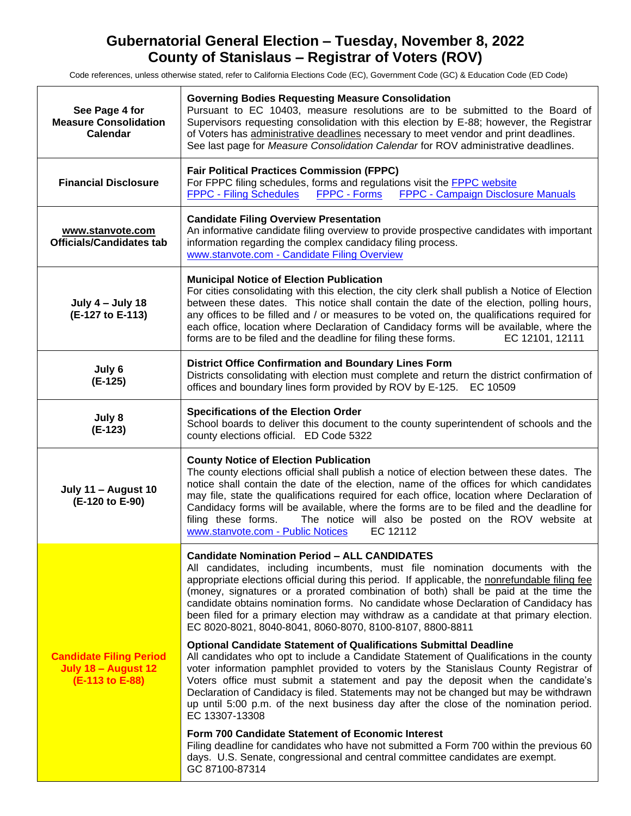# **Gubernatorial General Election – Tuesday, November 8, 2022 County of Stanislaus – Registrar of Voters (ROV)**

Code references, unless otherwise stated, refer to California Elections Code (EC), Government Code (GC) & Education Code (ED Code)

| See Page 4 for<br><b>Measure Consolidation</b><br><b>Calendar</b>        | <b>Governing Bodies Requesting Measure Consolidation</b><br>Pursuant to EC 10403, measure resolutions are to be submitted to the Board of<br>Supervisors requesting consolidation with this election by E-88; however, the Registrar<br>of Voters has administrative deadlines necessary to meet vendor and print deadlines.<br>See last page for Measure Consolidation Calendar for ROV administrative deadlines.                                                                                                                                                          |
|--------------------------------------------------------------------------|-----------------------------------------------------------------------------------------------------------------------------------------------------------------------------------------------------------------------------------------------------------------------------------------------------------------------------------------------------------------------------------------------------------------------------------------------------------------------------------------------------------------------------------------------------------------------------|
| <b>Financial Disclosure</b>                                              | <b>Fair Political Practices Commission (FPPC)</b><br>For FPPC filing schedules, forms and regulations visit the <b>FPPC</b> website<br><b>FPPC - Campaign Disclosure Manuals</b><br><b>FPPC - Filing Schedules</b><br><b>FPPC - Forms</b>                                                                                                                                                                                                                                                                                                                                   |
| www.stanvote.com<br><b>Officials/Candidates tab</b>                      | <b>Candidate Filing Overview Presentation</b><br>An informative candidate filing overview to provide prospective candidates with important<br>information regarding the complex candidacy filing process.<br>www.stanvote.com - Candidate Filing Overview                                                                                                                                                                                                                                                                                                                   |
| <b>July 4 - July 18</b><br>(E-127 to E-113)                              | <b>Municipal Notice of Election Publication</b><br>For cities consolidating with this election, the city clerk shall publish a Notice of Election<br>between these dates. This notice shall contain the date of the election, polling hours,<br>any offices to be filled and / or measures to be voted on, the qualifications required for<br>each office, location where Declaration of Candidacy forms will be available, where the<br>forms are to be filed and the deadline for filing these forms.<br>EC 12101, 12111                                                  |
| July 6<br>(E-125)                                                        | <b>District Office Confirmation and Boundary Lines Form</b><br>Districts consolidating with election must complete and return the district confirmation of<br>offices and boundary lines form provided by ROV by E-125. EC 10509                                                                                                                                                                                                                                                                                                                                            |
| July 8<br>$(E-123)$                                                      | <b>Specifications of the Election Order</b><br>School boards to deliver this document to the county superintendent of schools and the<br>county elections official. ED Code 5322                                                                                                                                                                                                                                                                                                                                                                                            |
| July 11 - August 10<br>(E-120 to E-90)                                   | <b>County Notice of Election Publication</b><br>The county elections official shall publish a notice of election between these dates. The<br>notice shall contain the date of the election, name of the offices for which candidates<br>may file, state the qualifications required for each office, location where Declaration of<br>Candidacy forms will be available, where the forms are to be filed and the deadline for<br>filing these forms. The notice will also be posted on the ROV website at<br>www.stanvote.com - Public Notices<br>EC 12112                  |
| <b>Candidate Filing Period</b><br>July 18 - August 12<br>(E-113 to E-88) | <b>Candidate Nomination Period - ALL CANDIDATES</b><br>All candidates, including incumbents, must file nomination documents with the<br>appropriate elections official during this period. If applicable, the nonrefundable filing fee<br>(money, signatures or a prorated combination of both) shall be paid at the time the<br>candidate obtains nomination forms. No candidate whose Declaration of Candidacy has<br>been filed for a primary election may withdraw as a candidate at that primary election.<br>EC 8020-8021, 8040-8041, 8060-8070, 8100-8107, 8800-8811 |
|                                                                          | <b>Optional Candidate Statement of Qualifications Submittal Deadline</b><br>All candidates who opt to include a Candidate Statement of Qualifications in the county<br>voter information pamphlet provided to voters by the Stanislaus County Registrar of<br>Voters office must submit a statement and pay the deposit when the candidate's<br>Declaration of Candidacy is filed. Statements may not be changed but may be withdrawn<br>up until 5:00 p.m. of the next business day after the close of the nomination period.<br>EC 13307-13308                            |
|                                                                          | Form 700 Candidate Statement of Economic Interest<br>Filing deadline for candidates who have not submitted a Form 700 within the previous 60<br>days. U.S. Senate, congressional and central committee candidates are exempt.<br>GC 87100-87314                                                                                                                                                                                                                                                                                                                             |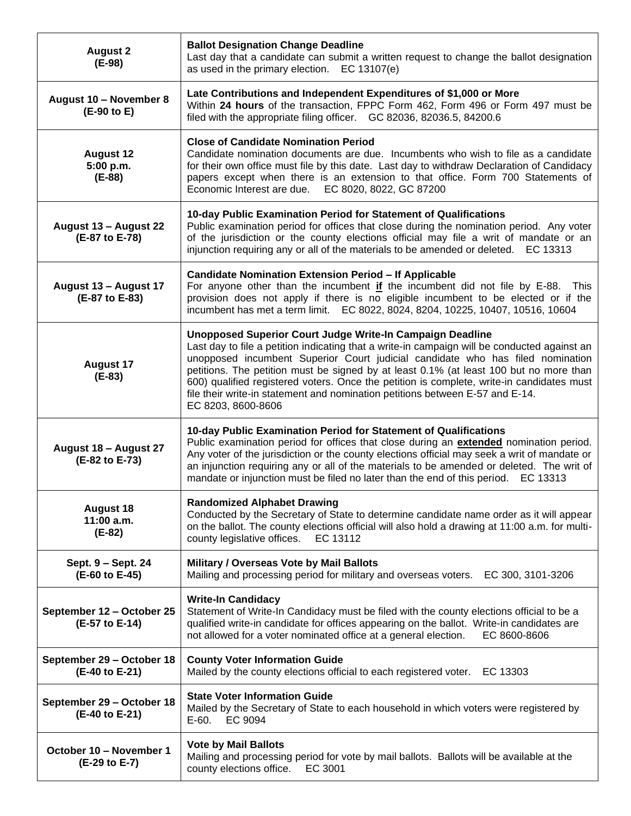| <b>August 2</b><br>$(E-98)$                  | <b>Ballot Designation Change Deadline</b><br>Last day that a candidate can submit a written request to change the ballot designation<br>as used in the primary election. EC 13107(e)                                                                                                                                                                                                                                                                                                                                                      |
|----------------------------------------------|-------------------------------------------------------------------------------------------------------------------------------------------------------------------------------------------------------------------------------------------------------------------------------------------------------------------------------------------------------------------------------------------------------------------------------------------------------------------------------------------------------------------------------------------|
| August 10 - November 8<br>(E-90 to E)        | Late Contributions and Independent Expenditures of \$1,000 or More<br>Within 24 hours of the transaction, FPPC Form 462, Form 496 or Form 497 must be<br>filed with the appropriate filing officer. GC 82036, 82036.5, 84200.6                                                                                                                                                                                                                                                                                                            |
| <b>August 12</b><br>5:00 p.m.<br>$(E-88)$    | <b>Close of Candidate Nomination Period</b><br>Candidate nomination documents are due. Incumbents who wish to file as a candidate<br>for their own office must file by this date. Last day to withdraw Declaration of Candidacy<br>papers except when there is an extension to that office. Form 700 Statements of<br>Economic Interest are due. EC 8020, 8022, GC 87200                                                                                                                                                                  |
| August 13 - August 22<br>(E-87 to E-78)      | 10-day Public Examination Period for Statement of Qualifications<br>Public examination period for offices that close during the nomination period. Any voter<br>of the jurisdiction or the county elections official may file a writ of mandate or an<br>injunction requiring any or all of the materials to be amended or deleted. EC 13313                                                                                                                                                                                              |
| August 13 - August 17<br>(E-87 to E-83)      | <b>Candidate Nomination Extension Period - If Applicable</b><br>For anyone other than the incumbent if the incumbent did not file by E-88. This<br>provision does not apply if there is no eligible incumbent to be elected or if the<br>incumbent has met a term limit. EC 8022, 8024, 8204, 10225, 10407, 10516, 10604                                                                                                                                                                                                                  |
| <b>August 17</b><br>$(E-83)$                 | Unopposed Superior Court Judge Write-In Campaign Deadline<br>Last day to file a petition indicating that a write-in campaign will be conducted against an<br>unopposed incumbent Superior Court judicial candidate who has filed nomination<br>petitions. The petition must be signed by at least 0.1% (at least 100 but no more than<br>600) qualified registered voters. Once the petition is complete, write-in candidates must<br>file their write-in statement and nomination petitions between E-57 and E-14.<br>EC 8203, 8600-8606 |
| August 18 - August 27<br>(E-82 to E-73)      | 10-day Public Examination Period for Statement of Qualifications<br>Public examination period for offices that close during an extended nomination period.<br>Any voter of the jurisdiction or the county elections official may seek a writ of mandate or<br>an injunction requiring any or all of the materials to be amended or deleted. The writ of<br>mandate or injunction must be filed no later than the end of this period. EC 13313                                                                                             |
| <b>August 18</b><br>$11:00$ a.m.<br>$(E-82)$ | <b>Randomized Alphabet Drawing</b><br>Conducted by the Secretary of State to determine candidate name order as it will appear<br>on the ballot. The county elections official will also hold a drawing at 11:00 a.m. for multi-<br>county legislative offices.<br>EC 13112                                                                                                                                                                                                                                                                |
| Sept. 9 - Sept. 24<br>(E-60 to E-45)         | Military / Overseas Vote by Mail Ballots<br>Mailing and processing period for military and overseas voters. EC 300, 3101-3206                                                                                                                                                                                                                                                                                                                                                                                                             |
| September 12 - October 25<br>(E-57 to E-14)  | <b>Write-In Candidacy</b><br>Statement of Write-In Candidacy must be filed with the county elections official to be a<br>qualified write-in candidate for offices appearing on the ballot. Write-in candidates are<br>not allowed for a voter nominated office at a general election.<br>EC 8600-8606                                                                                                                                                                                                                                     |
| September 29 - October 18<br>(E-40 to E-21)  | <b>County Voter Information Guide</b><br>Mailed by the county elections official to each registered voter. EC 13303                                                                                                                                                                                                                                                                                                                                                                                                                       |
| September 29 - October 18<br>(E-40 to E-21)  | <b>State Voter Information Guide</b><br>Mailed by the Secretary of State to each household in which voters were registered by<br>$E-60.$<br>EC 9094                                                                                                                                                                                                                                                                                                                                                                                       |
| October 10 - November 1<br>(E-29 to E-7)     | <b>Vote by Mail Ballots</b><br>Mailing and processing period for vote by mail ballots. Ballots will be available at the<br>county elections office.<br>EC 3001                                                                                                                                                                                                                                                                                                                                                                            |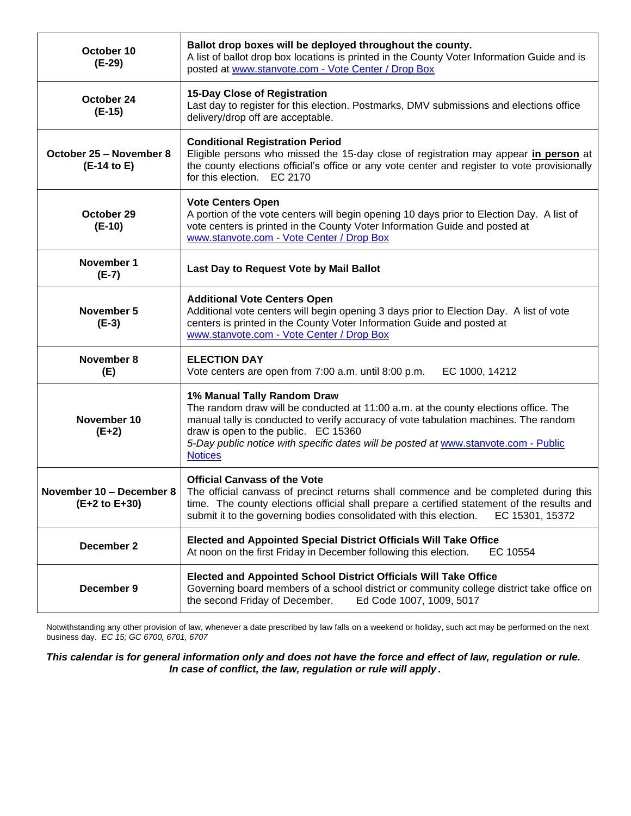| October 10<br>$(E-29)$                    | Ballot drop boxes will be deployed throughout the county.<br>A list of ballot drop box locations is printed in the County Voter Information Guide and is<br>posted at www.stanvote.com - Vote Center / Drop Box                                                                                                                                             |
|-------------------------------------------|-------------------------------------------------------------------------------------------------------------------------------------------------------------------------------------------------------------------------------------------------------------------------------------------------------------------------------------------------------------|
| October 24<br>$(E-15)$                    | 15-Day Close of Registration<br>Last day to register for this election. Postmarks, DMV submissions and elections office<br>delivery/drop off are acceptable.                                                                                                                                                                                                |
| October 25 - November 8<br>(E-14 to E)    | <b>Conditional Registration Period</b><br>Eligible persons who missed the 15-day close of registration may appear in person at<br>the county elections official's office or any vote center and register to vote provisionally<br>for this election. EC 2170                                                                                                |
| October 29<br>$(E-10)$                    | <b>Vote Centers Open</b><br>A portion of the vote centers will begin opening 10 days prior to Election Day. A list of<br>vote centers is printed in the County Voter Information Guide and posted at<br>www.stanvote.com - Vote Center / Drop Box                                                                                                           |
| November 1<br>$(E-7)$                     | Last Day to Request Vote by Mail Ballot                                                                                                                                                                                                                                                                                                                     |
| November 5<br>$(E-3)$                     | <b>Additional Vote Centers Open</b><br>Additional vote centers will begin opening 3 days prior to Election Day. A list of vote<br>centers is printed in the County Voter Information Guide and posted at<br>www.stanvote.com - Vote Center / Drop Box                                                                                                       |
| November 8<br>(E)                         | <b>ELECTION DAY</b><br>Vote centers are open from 7:00 a.m. until 8:00 p.m.<br>EC 1000, 14212                                                                                                                                                                                                                                                               |
| November 10<br>$(E+2)$                    | 1% Manual Tally Random Draw<br>The random draw will be conducted at 11:00 a.m. at the county elections office. The<br>manual tally is conducted to verify accuracy of vote tabulation machines. The random<br>draw is open to the public. EC 15360<br>5-Day public notice with specific dates will be posted at www.stanvote.com - Public<br><b>Notices</b> |
| November 10 - December 8<br>(E+2 to E+30) | <b>Official Canvass of the Vote</b><br>The official canvass of precinct returns shall commence and be completed during this<br>time. The county elections official shall prepare a certified statement of the results and<br>submit it to the governing bodies consolidated with this election.<br>EC 15301, 15372                                          |
| December 2                                | <b>Elected and Appointed Special District Officials Will Take Office</b><br>At noon on the first Friday in December following this election.<br>EC 10554                                                                                                                                                                                                    |
| December 9                                | <b>Elected and Appointed School District Officials Will Take Office</b><br>Governing board members of a school district or community college district take office on<br>the second Friday of December.<br>Ed Code 1007, 1009, 5017                                                                                                                          |

Notwithstanding any other provision of law, whenever a date prescribed by law falls on a weekend or holiday, such act may be performed on the next business day. *EC 15; GC 6700, 6701, 6707*

*This calendar is for general information only and does not have the force and effect of law, regulation or rule. In case of conflict, the law, regulation or rule will apply .*